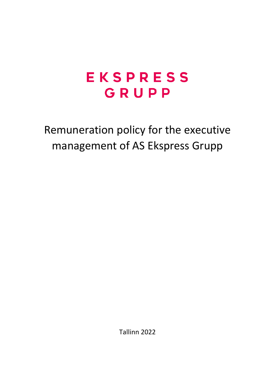Remuneration policy for the executive management of AS Ekspress Grupp

Tallinn 2022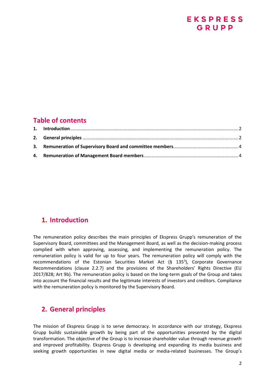### **Table of contents**

### <span id="page-1-0"></span>**1. Introduction**

The remuneration policy describes the main principles of Ekspress Grupp's remuneration of the Supervisory Board, committees and the Management Board, as well as the decision-making process complied with when approving, assessing, and implementing the remuneration policy. The remuneration policy is valid for up to four years. The remuneration policy will comply with the recommendations of the Estonian Securities Market Act (§ 135<sup>3</sup>), Corporate Governance Recommendations (clause 2.2.7) and the provisions of the Shareholders' Rights Directive (EU 2017/828; Art 9b). The remuneration policy is based on the long-term goals of the Group and takes into account the financial results and the legitimate interests of investors and creditors. Compliance with the remuneration policy is monitored by the Supervisory Board.

### <span id="page-1-1"></span>**2. General principles**

The mission of Ekspress Grupp is to serve democracy. In accordance with our strategy, Ekspress Grupp builds sustainable growth by being part of the opportunities presented by the digital transformation. The objective of the Group is to increase shareholder value through revenue growth and improved profitability. Ekspress Grupp is developing and expanding its media business and seeking growth opportunities in new digital media or media-related businesses. The Group's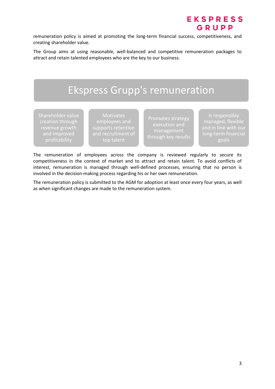remuneration policy is aimed at promoting the long-term financial success, competitiveness, and creating shareholder value.

The Group aims at using reasonable, well-balanced and competitive remuneration packages to attract and retain talented employees who are the key to our business.



The remuneration of employees across the company is reviewed regularly to secure its competitiveness in the context of market and to attract and retain talent. To avoid conflicts of interest, remuneration is managed through well-defined processes, ensuring that no person is involved in the decision-making process regarding his or her own remuneration.

The remuneration policy is submitted to the AGM for adoption at least once every four years, as well as when significant changes are made to the remuneration system.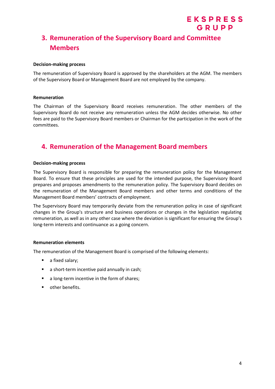### <span id="page-3-0"></span>**3. Remuneration of the Supervisory Board and Committee Members**

EKSPRESS GRUPP

#### **Decision-making process**

The remuneration of Supervisory Board is approved by the shareholders at the AGM. The members of the Supervisory Board or Management Board are not employed by the company.

#### **Remuneration**

The Chairman of the Supervisory Board receives remuneration. The other members of the Supervisory Board do not receive any remuneration unless the AGM decides otherwise. No other fees are paid to the Supervisory Board members or Chairman for the participation in the work of the committees.

### <span id="page-3-1"></span>**4. Remuneration of the Management Board members**

#### **Decision-making process**

The Supervisory Board is responsible for preparing the remuneration policy for the Management Board. To ensure that these principles are used for the intended purpose, the Supervisory Board prepares and proposes amendments to the remuneration policy. The Supervisory Board decides on the remuneration of the Management Board members and other terms and conditions of the Management Board members' contracts of employment.

The Supervisory Board may temporarily deviate from the remuneration policy in case of significant changes in the Group's structure and business operations or changes in the legislation regulating remuneration, as well as in any other case where the deviation is significant for ensuring the Group's long-term interests and continuance as a going concern.

#### **Remuneration elements**

The remuneration of the Management Board is comprised of the following elements:

- a fixed salary;
- a short-term incentive paid annually in cash;
- a long-term incentive in the form of shares;
- other benefits.